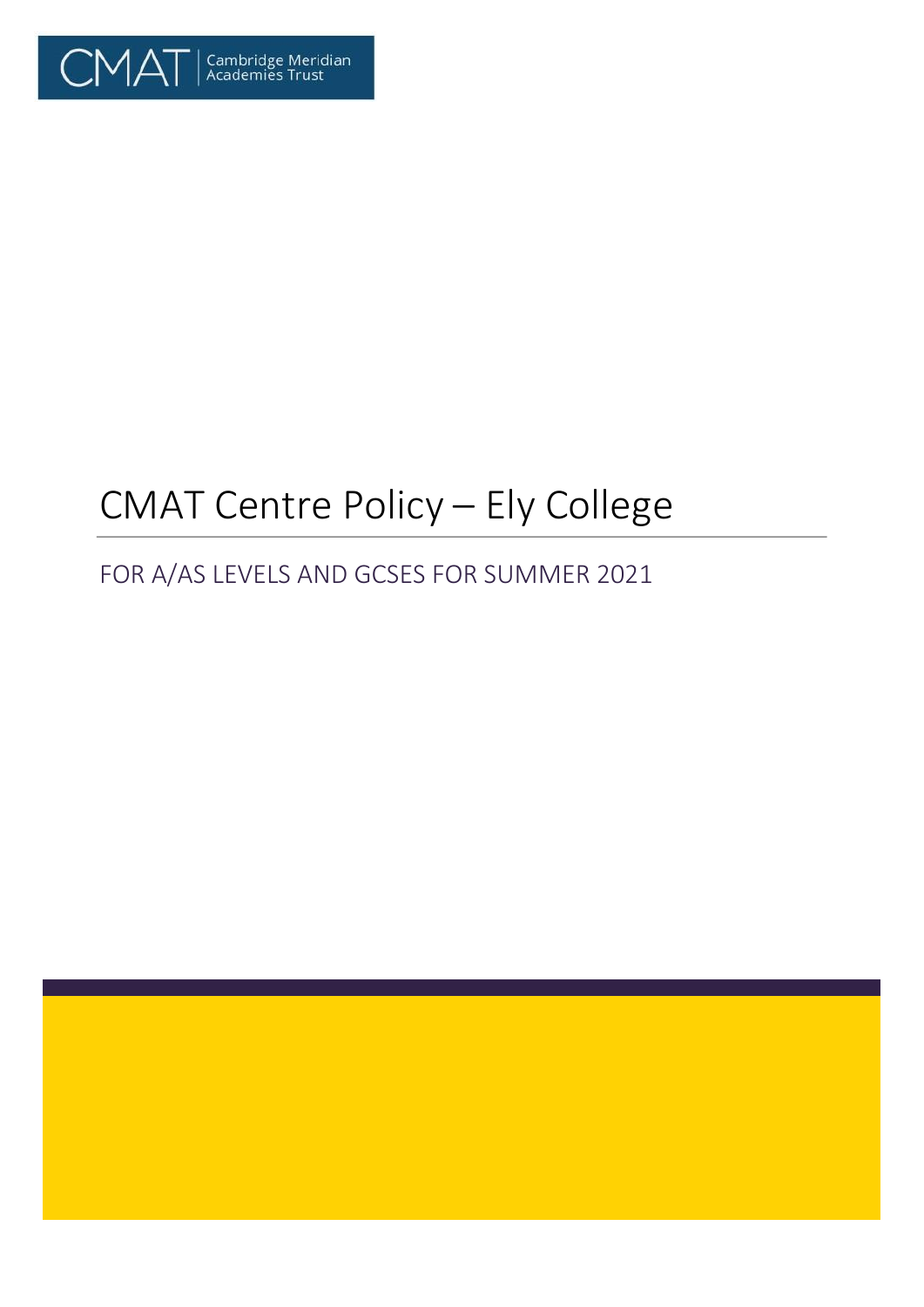

# CMAT Centre Policy – Ely College

## FOR A/AS LEVELS AND GCSES FOR SUMMER 2021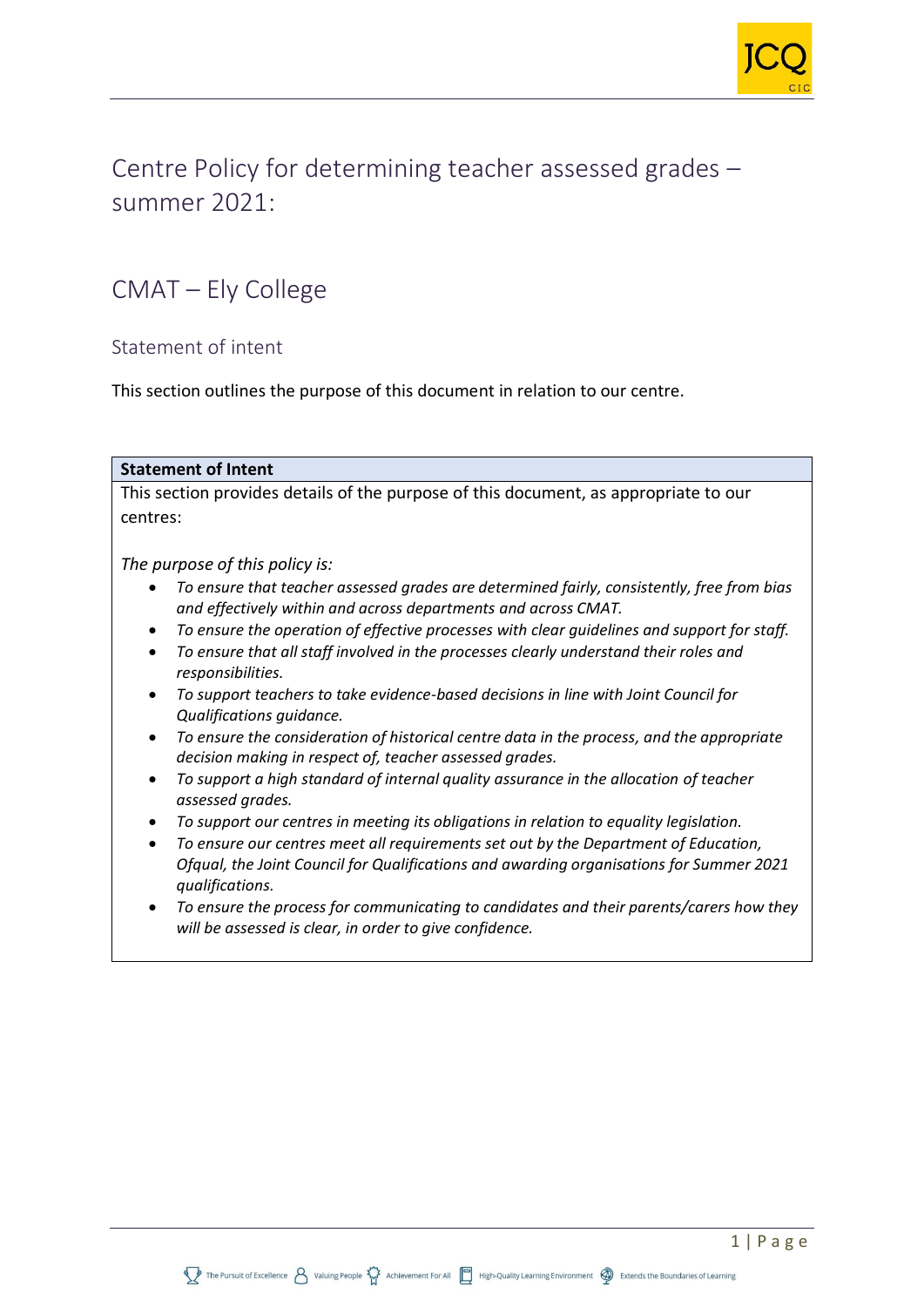

Centre Policy for determining teacher assessed grades – summer 2021:

## CMAT – Ely College

## Statement of intent

This section outlines the purpose of this document in relation to our centre.

#### **Statement of Intent**

This section provides details of the purpose of this document, as appropriate to our centres:

*The purpose of this policy is:*

- *To ensure that teacher assessed grades are determined fairly, consistently, free from bias and effectively within and across departments and across CMAT.*
- *To ensure the operation of effective processes with clear guidelines and support for staff.*
- *To ensure that all staff involved in the processes clearly understand their roles and responsibilities.*
- *To support teachers to take evidence-based decisions in line with Joint Council for Qualifications guidance.*
- *To ensure the consideration of historical centre data in the process, and the appropriate decision making in respect of, teacher assessed grades.*
- *To support a high standard of internal quality assurance in the allocation of teacher assessed grades.*
- *To support our centres in meeting its obligations in relation to equality legislation.*
- *To ensure our centres meet all requirements set out by the Department of Education, Ofqual, the Joint Council for Qualifications and awarding organisations for Summer 2021 qualifications.*
- *To ensure the process for communicating to candidates and their parents/carers how they will be assessed is clear, in order to give confidence.*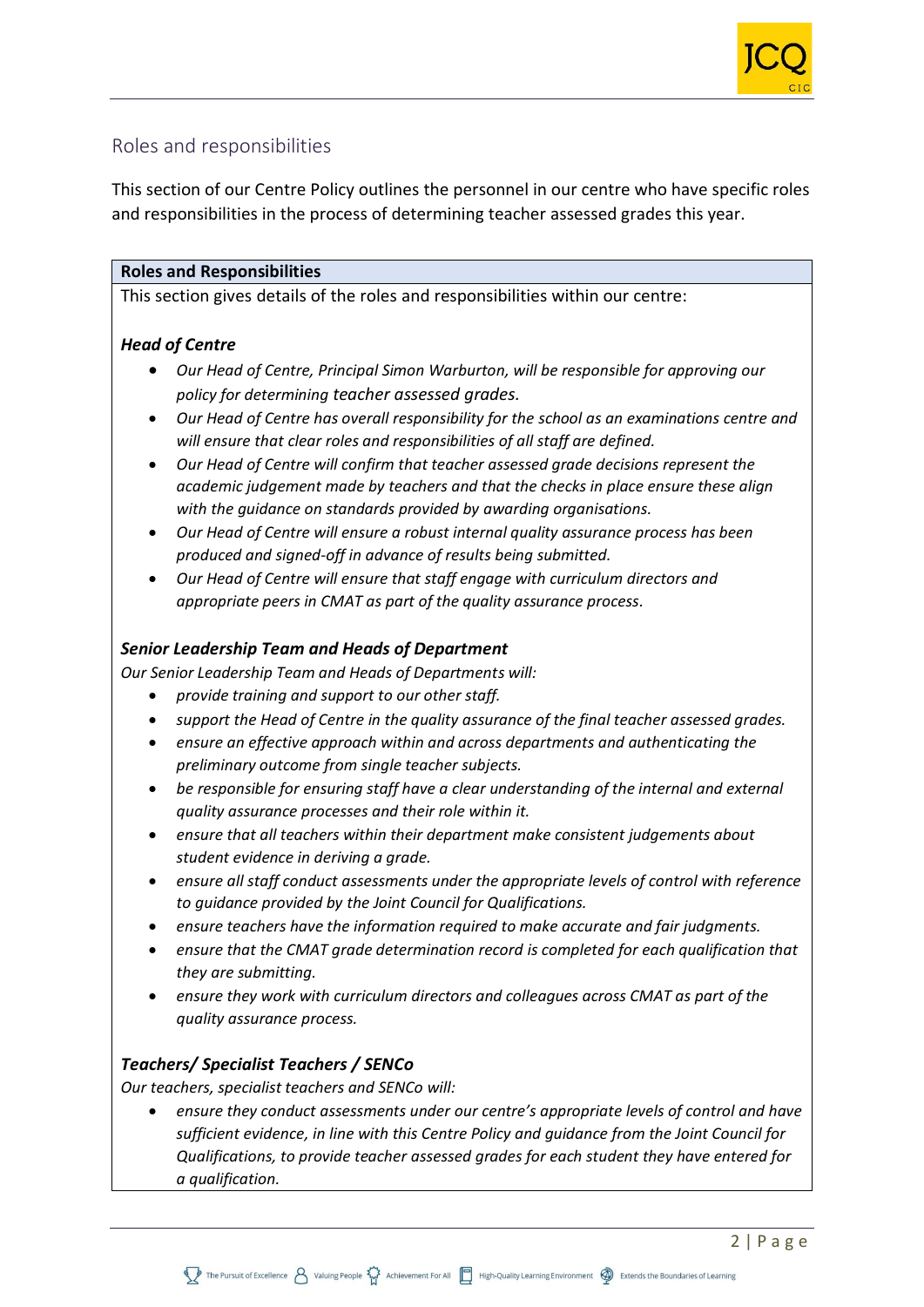

## Roles and responsibilities

This section of our Centre Policy outlines the personnel in our centre who have specific roles and responsibilities in the process of determining teacher assessed grades this year.

#### **Roles and Responsibilities**

This section gives details of the roles and responsibilities within our centre:

## *Head of Centre*

- *Our Head of Centre, Principal Simon Warburton, will be responsible for approving our policy for determining teacher assessed grades.*
- *Our Head of Centre has overall responsibility for the school as an examinations centre and will ensure that clear roles and responsibilities of all staff are defined.*
- *Our Head of Centre will confirm that teacher assessed grade decisions represent the academic judgement made by teachers and that the checks in place ensure these align with the guidance on standards provided by awarding organisations.*
- *Our Head of Centre will ensure a robust internal quality assurance process has been produced and signed-off in advance of results being submitted.*
- *Our Head of Centre will ensure that staff engage with curriculum directors and appropriate peers in CMAT as part of the quality assurance process.*

## *Senior Leadership Team and Heads of Department*

*Our Senior Leadership Team and Heads of Departments will:*

- *provide training and support to our other staff.*
- *support the Head of Centre in the quality assurance of the final teacher assessed grades.*
- *ensure an effective approach within and across departments and authenticating the preliminary outcome from single teacher subjects.*
- *be responsible for ensuring staff have a clear understanding of the internal and external quality assurance processes and their role within it.*
- *ensure that all teachers within their department make consistent judgements about student evidence in deriving a grade.*
- *ensure all staff conduct assessments under the appropriate levels of control with reference to guidance provided by the Joint Council for Qualifications.*
- *ensure teachers have the information required to make accurate and fair judgments.*
- *ensure that the CMAT grade determination record is completed for each qualification that they are submitting.*
- *ensure they work with curriculum directors and colleagues across CMAT as part of the quality assurance process.*

## *Teachers/ Specialist Teachers / SENCo*

*Our teachers, specialist teachers and SENCo will:*

• *ensure they conduct assessments under our centre's appropriate levels of control and have sufficient evidence, in line with this Centre Policy and guidance from the Joint Council for Qualifications, to provide teacher assessed grades for each student they have entered for a qualification.*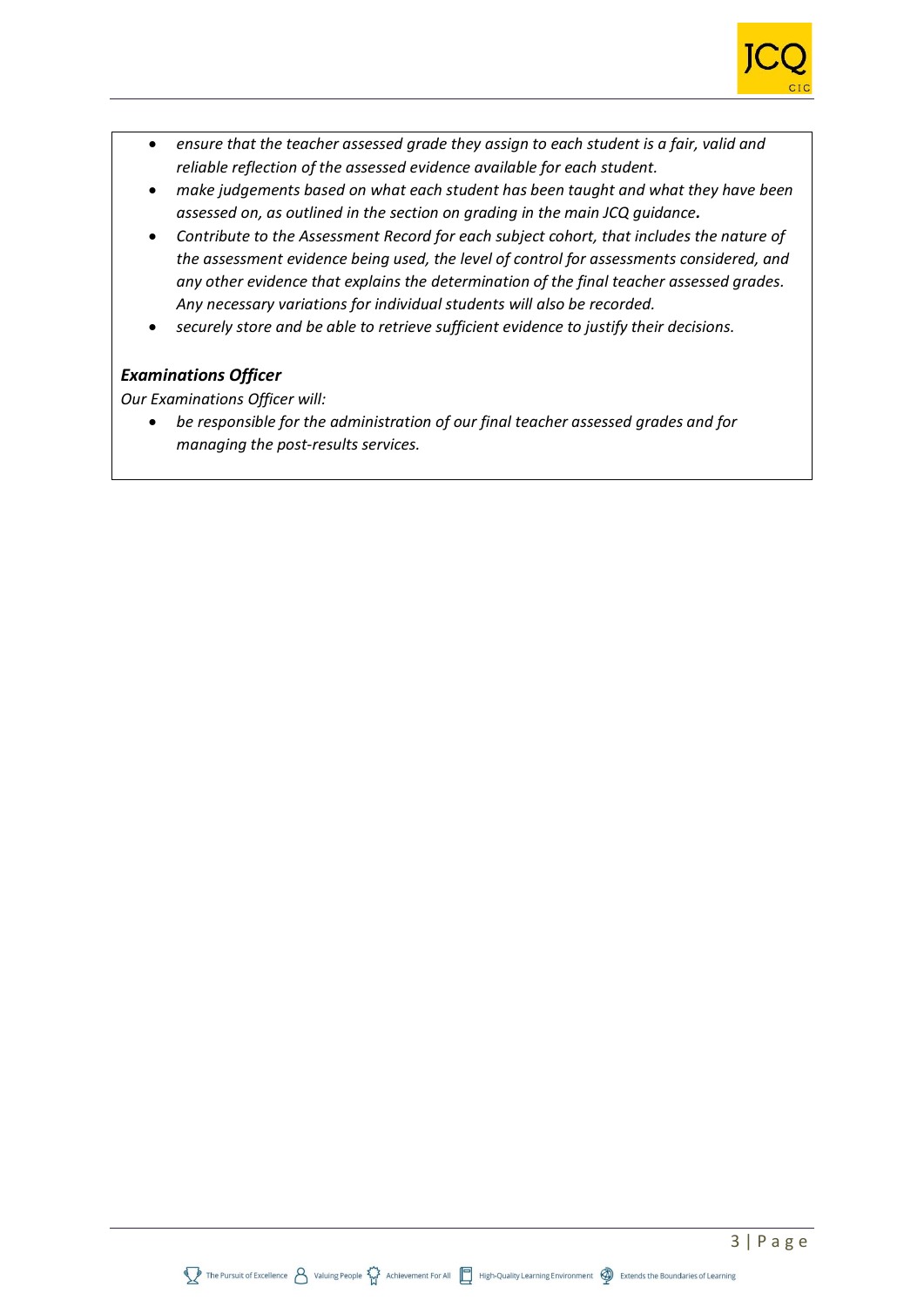

- *ensure that the teacher assessed grade they assign to each student is a fair, valid and reliable reflection of the assessed evidence available for each student.*
- *make judgements based on what each student has been taught and what they have been assessed on, as outlined in the section on grading in the main JCQ guidance.*
- *Contribute to the Assessment Record for each subject cohort, that includes the nature of the assessment evidence being used, the level of control for assessments considered, and any other evidence that explains the determination of the final teacher assessed grades. Any necessary variations for individual students will also be recorded.*
- *securely store and be able to retrieve sufficient evidence to justify their decisions.*

#### *Examinations Officer*

*Our Examinations Officer will:*

• *be responsible for the administration of our final teacher assessed grades and for managing the post-results services.*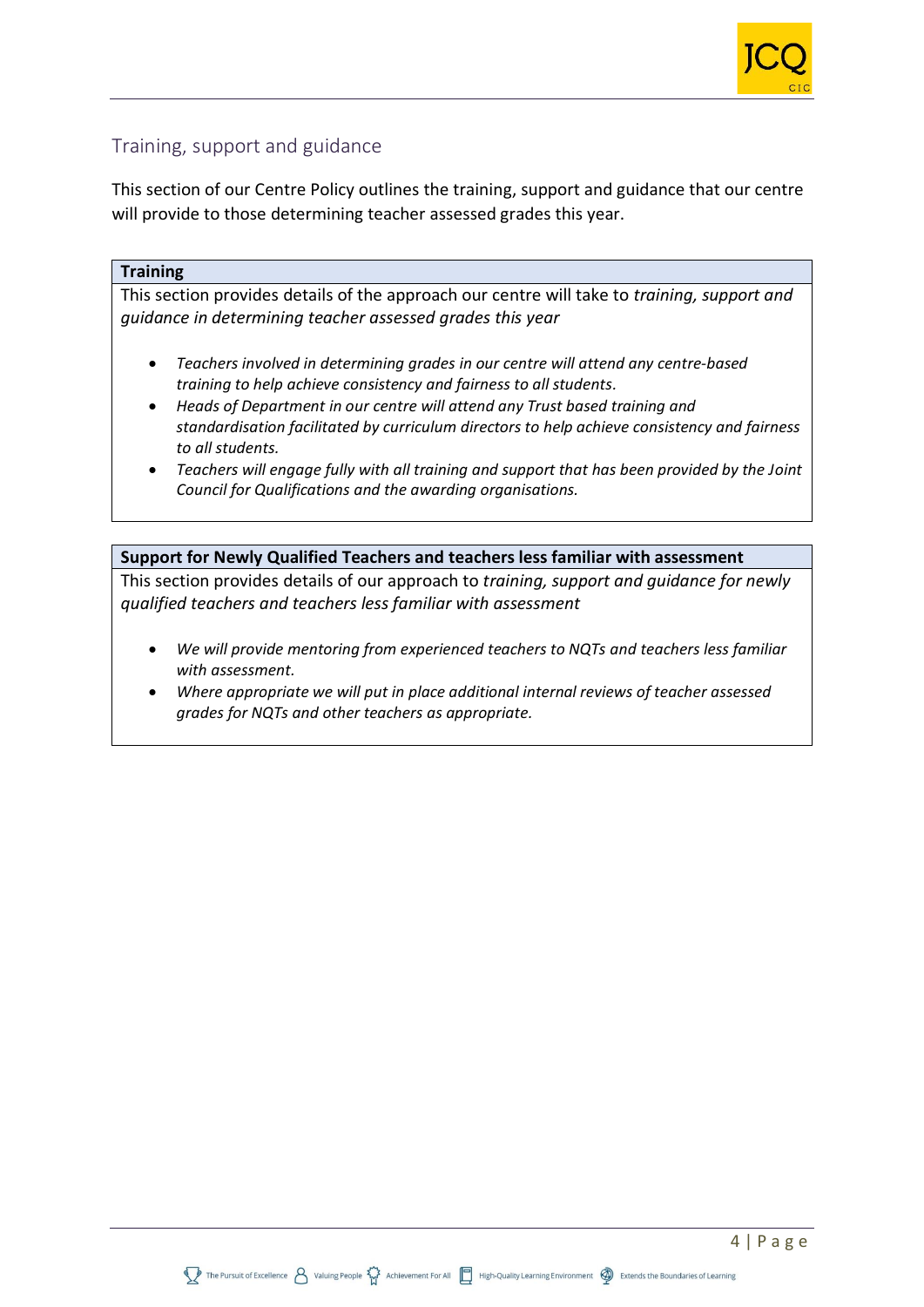## Training, support and guidance

This section of our Centre Policy outlines the training, support and guidance that our centre will provide to those determining teacher assessed grades this year.

#### **Training**

This section provides details of the approach our centre will take to *training, support and guidance in determining teacher assessed grades this year*

- *Teachers involved in determining grades in our centre will attend any centre-based training to help achieve consistency and fairness to all students.*
- *Heads of Department in our centre will attend any Trust based training and standardisation facilitated by curriculum directors to help achieve consistency and fairness to all students.*
- *Teachers will engage fully with all training and support that has been provided by the Joint Council for Qualifications and the awarding organisations.*

#### **Support for Newly Qualified Teachers and teachers less familiar with assessment**

This section provides details of our approach to *training, support and guidance for newly qualified teachers and teachers less familiar with assessment*

- *We will provide mentoring from experienced teachers to NQTs and teachers less familiar with assessment.*
- *Where appropriate we will put in place additional internal reviews of teacher assessed grades for NQTs and other teachers as appropriate.*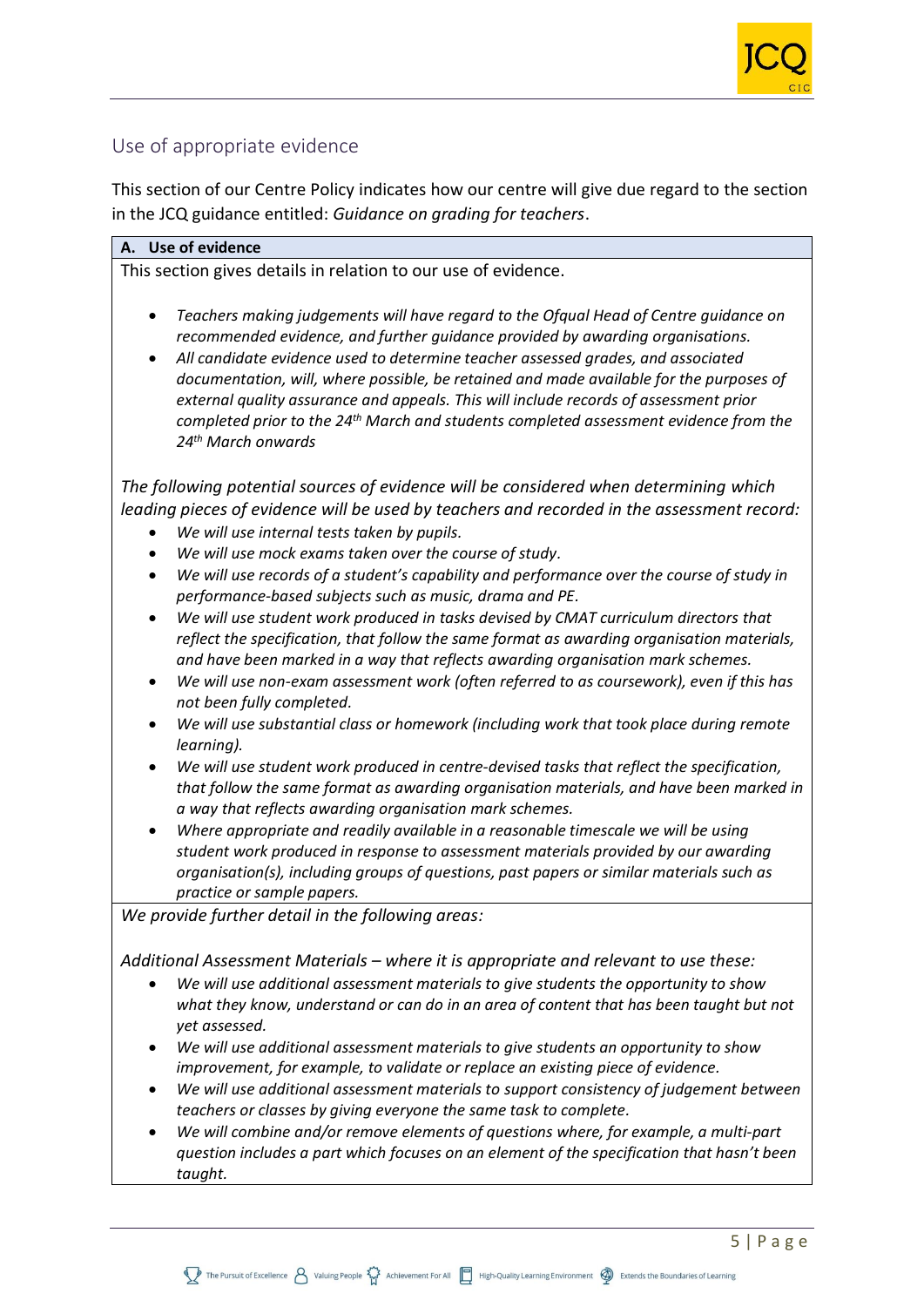

## Use of appropriate evidence

This section of our Centre Policy indicates how our centre will give due regard to the section in the JCQ guidance entitled: *Guidance on grading for teachers*.

#### **A. Use of evidence**

This section gives details in relation to our use of evidence.

- *Teachers making judgements will have regard to the Ofqual Head of Centre guidance on recommended evidence, and further guidance provided by awarding organisations.*
- *All candidate evidence used to determine teacher assessed grades, and associated documentation, will, where possible, be retained and made available for the purposes of external quality assurance and appeals. This will include records of assessment prior completed prior to the 24th March and students completed assessment evidence from the 24th March onwards*

*The following potential sources of evidence will be considered when determining which leading pieces of evidence will be used by teachers and recorded in the assessment record:*

- *We will use internal tests taken by pupils.*
- *We will use mock exams taken over the course of study.*
- *We will use records of a student's capability and performance over the course of study in performance-based subjects such as music, drama and PE.*
- *We will use student work produced in tasks devised by CMAT curriculum directors that reflect the specification, that follow the same format as awarding organisation materials, and have been marked in a way that reflects awarding organisation mark schemes.*
- *We will use non-exam assessment work (often referred to as coursework), even if this has not been fully completed.*
- *We will use substantial class or homework (including work that took place during remote learning).*
- *We will use student work produced in centre-devised tasks that reflect the specification, that follow the same format as awarding organisation materials, and have been marked in a way that reflects awarding organisation mark schemes.*
- *Where appropriate and readily available in a reasonable timescale we will be using student work produced in response to assessment materials provided by our awarding organisation(s), including groups of questions, past papers or similar materials such as practice or sample papers.*

*We provide further detail in the following areas:*

*Additional Assessment Materials – where it is appropriate and relevant to use these:*

- *We will use additional assessment materials to give students the opportunity to show what they know, understand or can do in an area of content that has been taught but not yet assessed.*
- *We will use additional assessment materials to give students an opportunity to show improvement, for example, to validate or replace an existing piece of evidence.*
- *We will use additional assessment materials to support consistency of judgement between teachers or classes by giving everyone the same task to complete.*
- *We will combine and/or remove elements of questions where, for example, a multi-part question includes a part which focuses on an element of the specification that hasn't been taught.*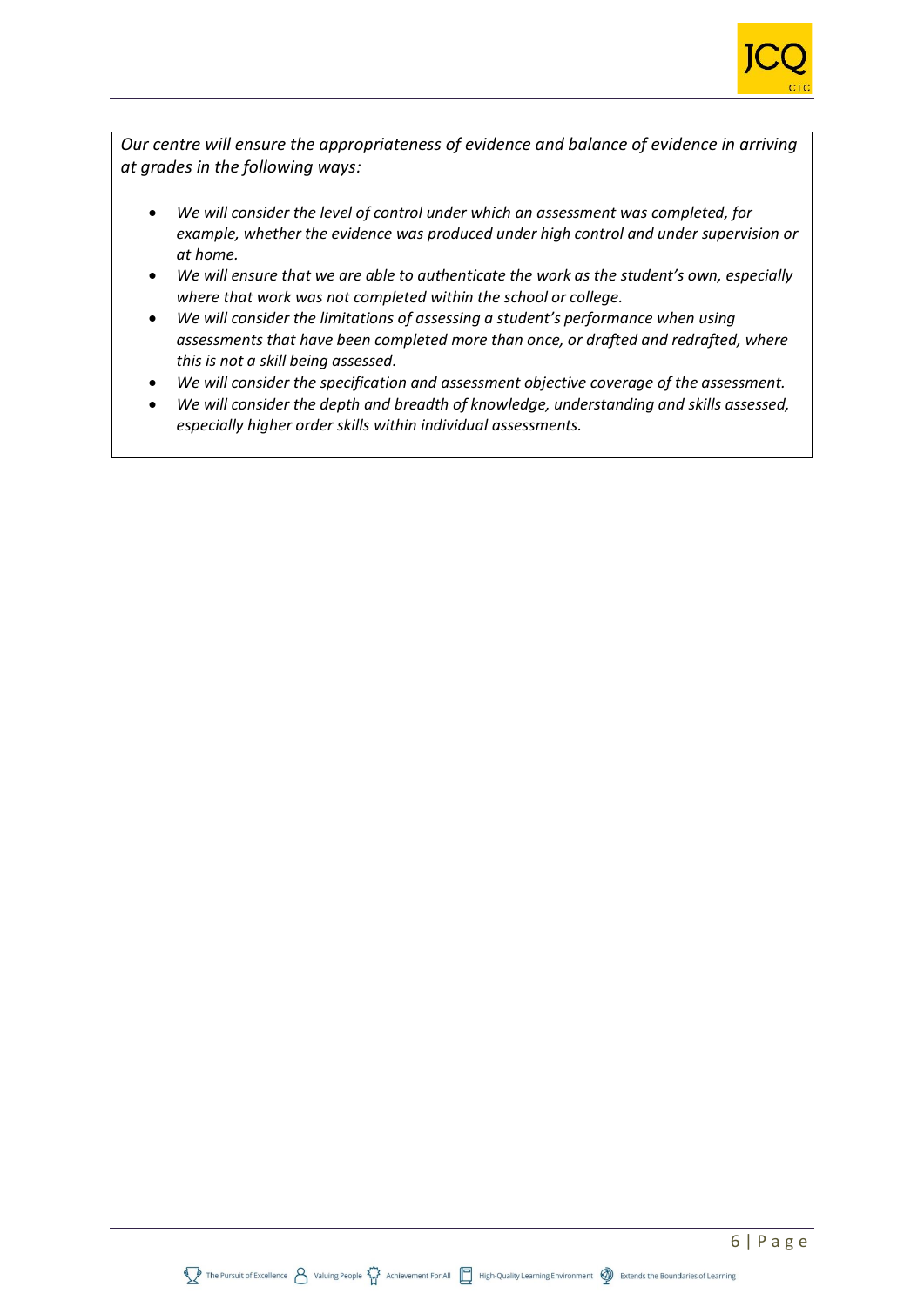

*Our centre will ensure the appropriateness of evidence and balance of evidence in arriving at grades in the following ways:*

- *We will consider the level of control under which an assessment was completed, for example, whether the evidence was produced under high control and under supervision or at home.*
- *We will ensure that we are able to authenticate the work as the student's own, especially where that work was not completed within the school or college.*
- *We will consider the limitations of assessing a student's performance when using assessments that have been completed more than once, or drafted and redrafted, where this is not a skill being assessed.*
- *We will consider the specification and assessment objective coverage of the assessment.*
- *We will consider the depth and breadth of knowledge, understanding and skills assessed, especially higher order skills within individual assessments.*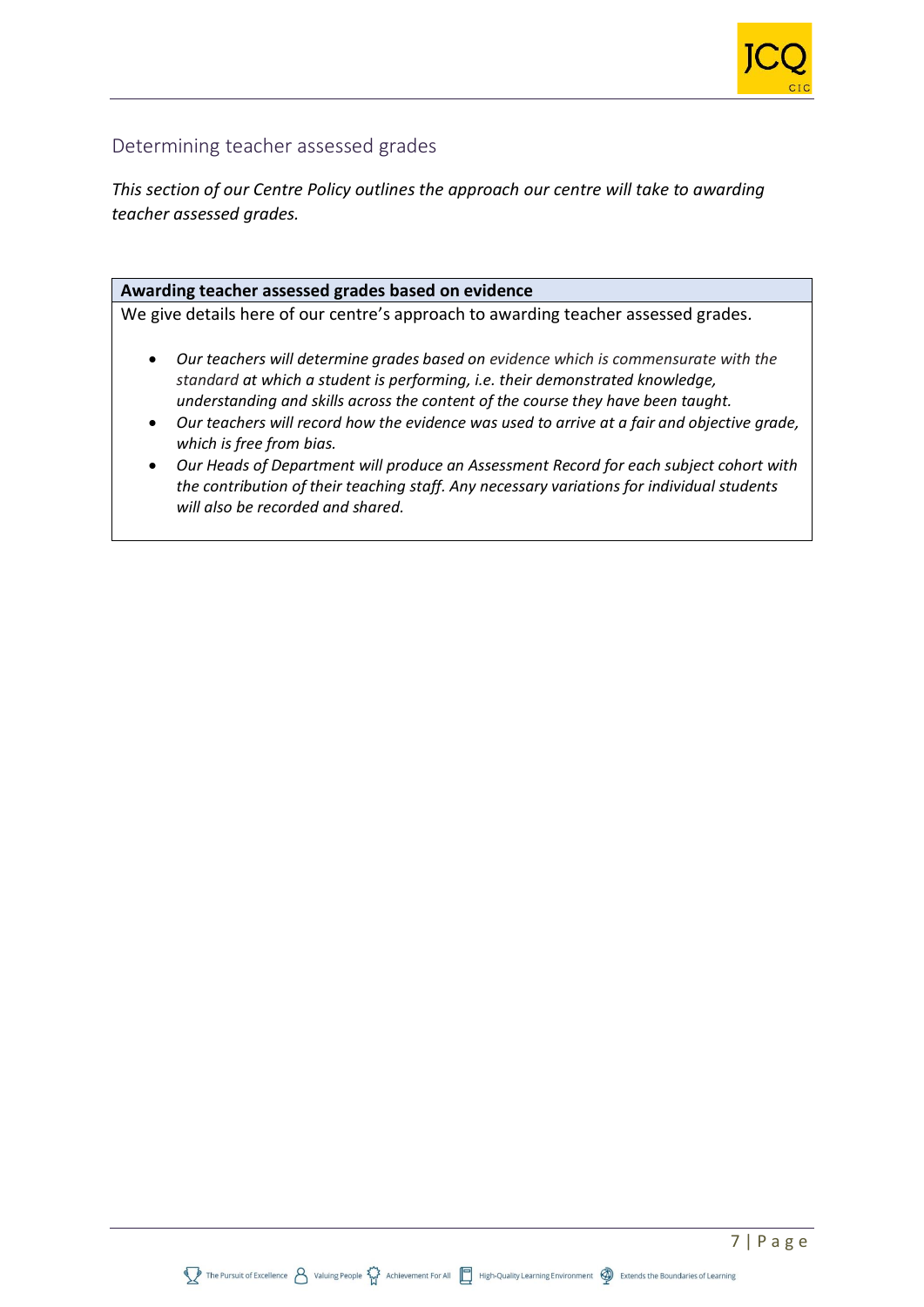

## Determining teacher assessed grades

*This section of our Centre Policy outlines the approach our centre will take to awarding teacher assessed grades.*

#### **Awarding teacher assessed grades based on evidence**

We give details here of our centre's approach to awarding teacher assessed grades*.*

- *Our teachers will determine grades based on evidence which is commensurate with the standard at which a student is performing, i.e. their demonstrated knowledge, understanding and skills across the content of the course they have been taught.*
- *Our teachers will record how the evidence was used to arrive at a fair and objective grade, which is free from bias.*
- *Our Heads of Department will produce an Assessment Record for each subject cohort with the contribution of their teaching staff. Any necessary variations for individual students will also be recorded and shared.*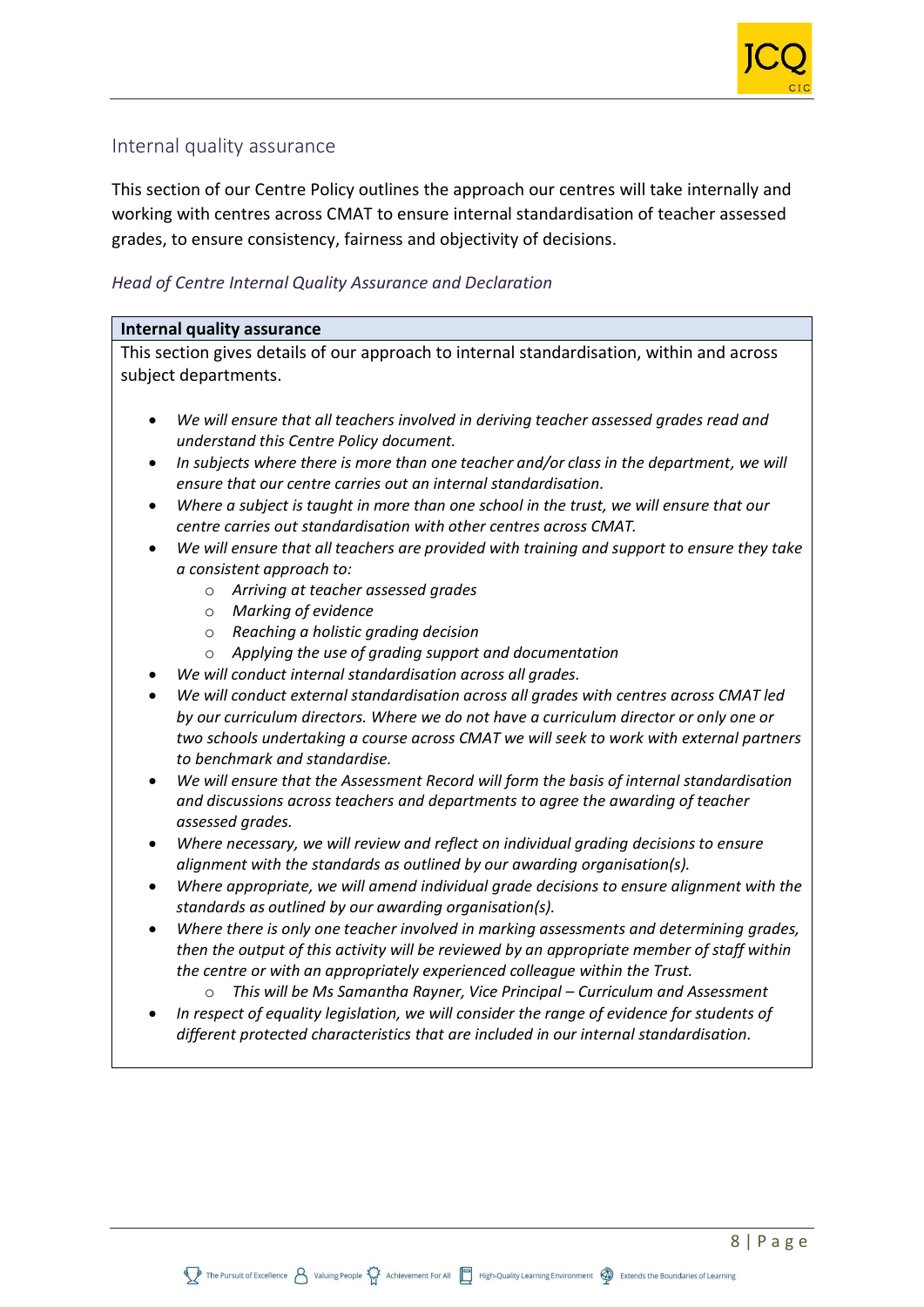

## Internal quality assurance

This section of our Centre Policy outlines the approach our centres will take internally and working with centres across CMAT to ensure internal standardisation of teacher assessed grades, to ensure consistency, fairness and objectivity of decisions.

#### *Head of Centre Internal Quality Assurance and Declaration*

#### **Internal quality assurance**

This section gives details of our approach to internal standardisation, within and across subject departments.

- *We will ensure that all teachers involved in deriving teacher assessed grades read and understand this Centre Policy document.*
- *In subjects where there is more than one teacher and/or class in the department, we will ensure that our centre carries out an internal standardisation.*
- *Where a subject is taught in more than one school in the trust, we will ensure that our centre carries out standardisation with other centres across CMAT.*
- *We will ensure that all teachers are provided with training and support to ensure they take a consistent approach to:*
	- o *Arriving at teacher assessed grades*
	- o *Marking of evidence*
	- o *Reaching a holistic grading decision*
	- o *Applying the use of grading support and documentation*
- *We will conduct internal standardisation across all grades.*
- *We will conduct external standardisation across all grades with centres across CMAT led by our curriculum directors. Where we do not have a curriculum director or only one or two schools undertaking a course across CMAT we will seek to work with external partners to benchmark and standardise.*
- *We will ensure that the Assessment Record will form the basis of internal standardisation and discussions across teachers and departments to agree the awarding of teacher assessed grades.*
- *Where necessary, we will review and reflect on individual grading decisions to ensure alignment with the standards as outlined by our awarding organisation(s).*
- *Where appropriate, we will amend individual grade decisions to ensure alignment with the standards as outlined by our awarding organisation(s).*
- *Where there is only one teacher involved in marking assessments and determining grades, then the output of this activity will be reviewed by an appropriate member of staff within the centre or with an appropriately experienced colleague within the Trust.*
	- o *This will be Ms Samantha Rayner, Vice Principal – Curriculum and Assessment*
- *In respect of equality legislation, we will consider the range of evidence for students of different protected characteristics that are included in our internal standardisation.*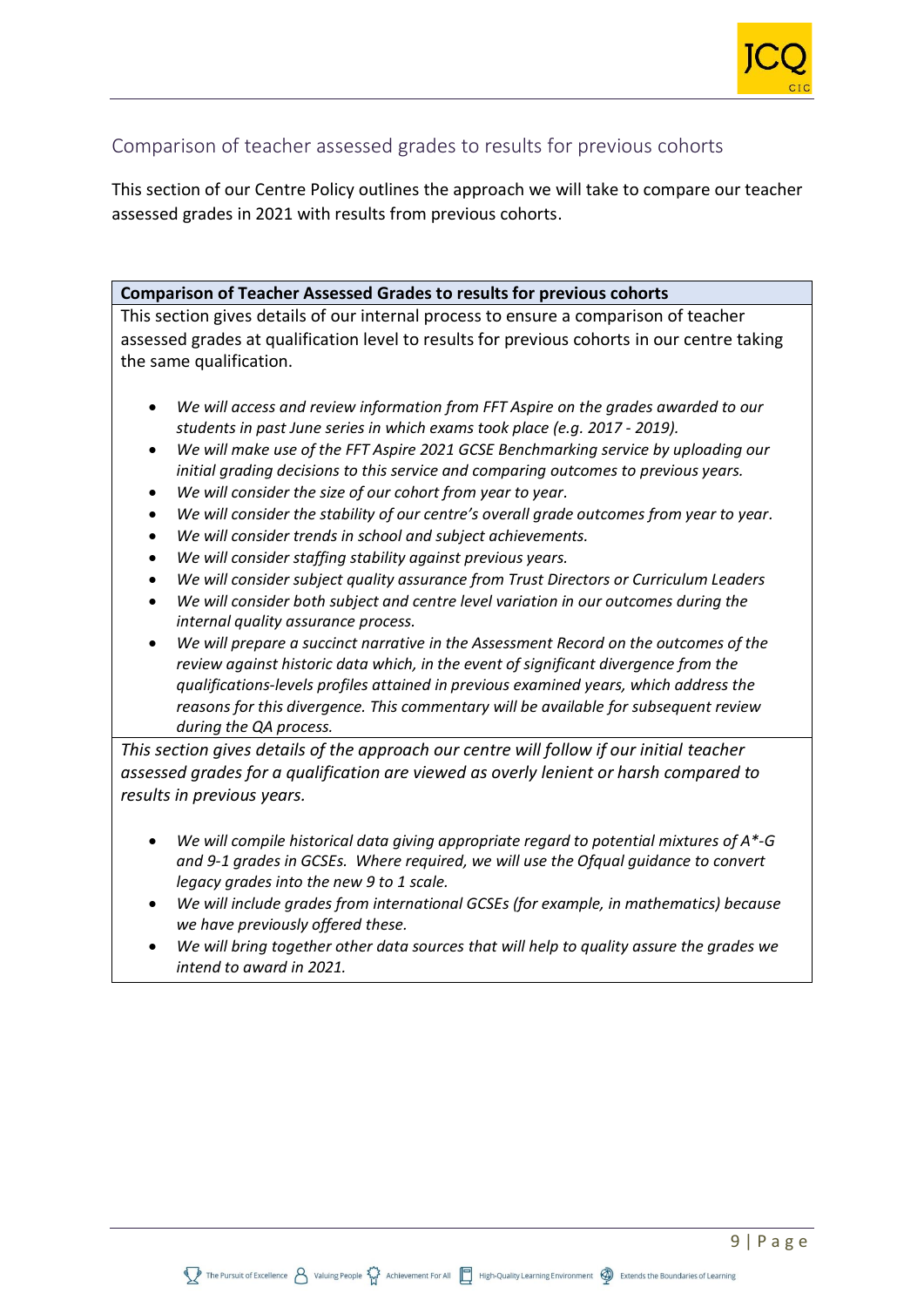

## Comparison of teacher assessed grades to results for previous cohorts

This section of our Centre Policy outlines the approach we will take to compare our teacher assessed grades in 2021 with results from previous cohorts.

#### **Comparison of Teacher Assessed Grades to results for previous cohorts**

This section gives details of our internal process to ensure a comparison of teacher assessed grades at qualification level to results for previous cohorts in our centre taking the same qualification.

- *We will access and review information from FFT Aspire on the grades awarded to our students in past June series in which exams took place (e.g. 2017 - 2019).*
- *We will make use of the FFT Aspire 2021 GCSE Benchmarking service by uploading our initial grading decisions to this service and comparing outcomes to previous years.*
- *We will consider the size of our cohort from year to year.*
- *We will consider the stability of our centre's overall grade outcomes from year to year.*
- *We will consider trends in school and subject achievements.*
- *We will consider staffing stability against previous years.*
- *We will consider subject quality assurance from Trust Directors or Curriculum Leaders*
- *We will consider both subject and centre level variation in our outcomes during the internal quality assurance process.*
- *We will prepare a succinct narrative in the Assessment Record on the outcomes of the review against historic data which, in the event of significant divergence from the qualifications-levels profiles attained in previous examined years, which address the reasons for this divergence. This commentary will be available for subsequent review during the QA process.*

*This section gives details of the approach our centre will follow if our initial teacher assessed grades for a qualification are viewed as overly lenient or harsh compared to results in previous years.*

- *We will compile historical data giving appropriate regard to potential mixtures of A\*-G and 9-1 grades in GCSEs. Where required, we will use the Ofqual guidance to convert legacy grades into the new 9 to 1 scale.*
- *We will include grades from international GCSEs (for example, in mathematics) because we have previously offered these.*
- *We will bring together other data sources that will help to quality assure the grades we intend to award in 2021.*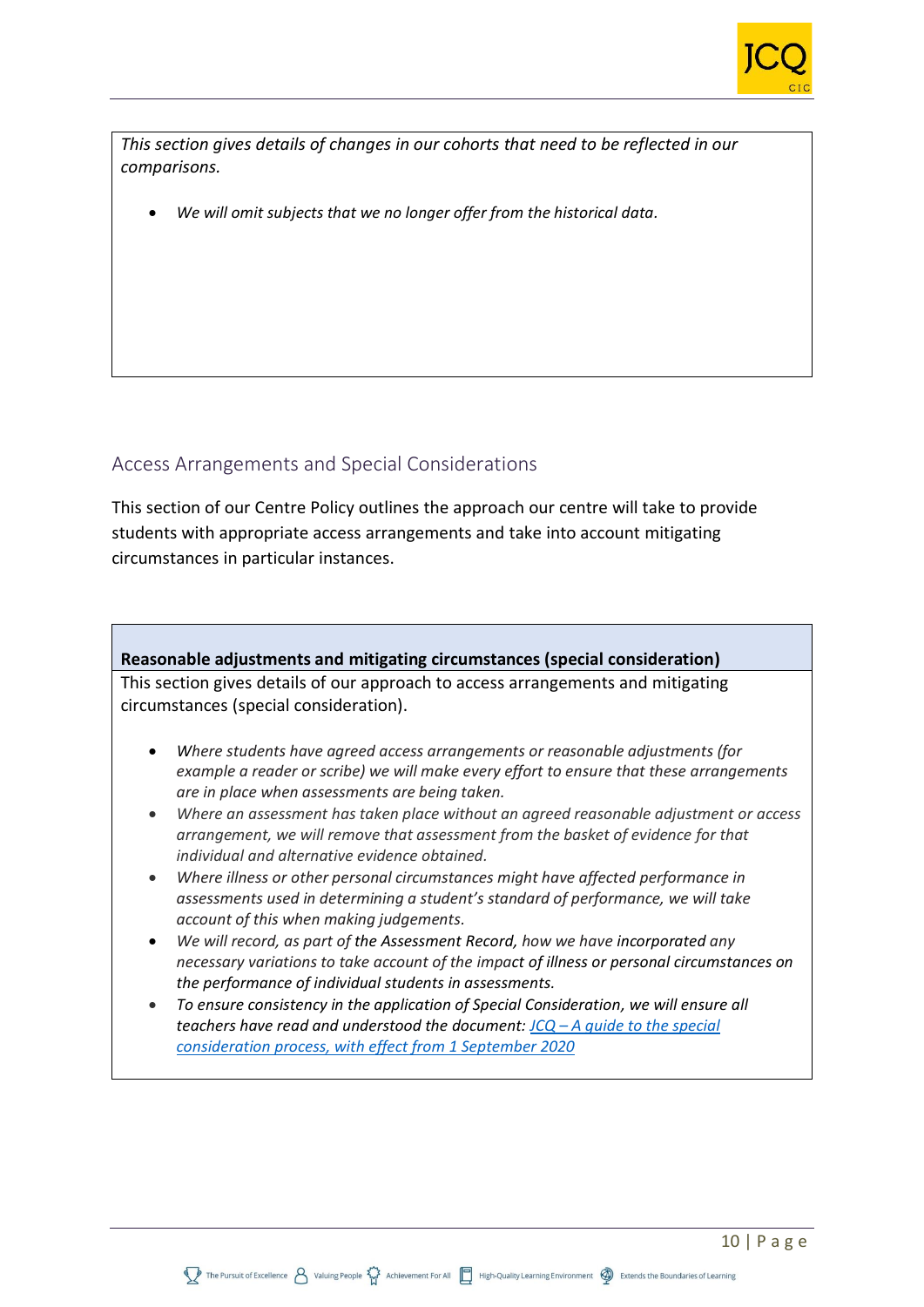

*This section gives details of changes in our cohorts that need to be reflected in our comparisons.* 

• *We will omit subjects that we no longer offer from the historical data.*

## Access Arrangements and Special Considerations

This section of our Centre Policy outlines the approach our centre will take to provide students with appropriate access arrangements and take into account mitigating circumstances in particular instances.

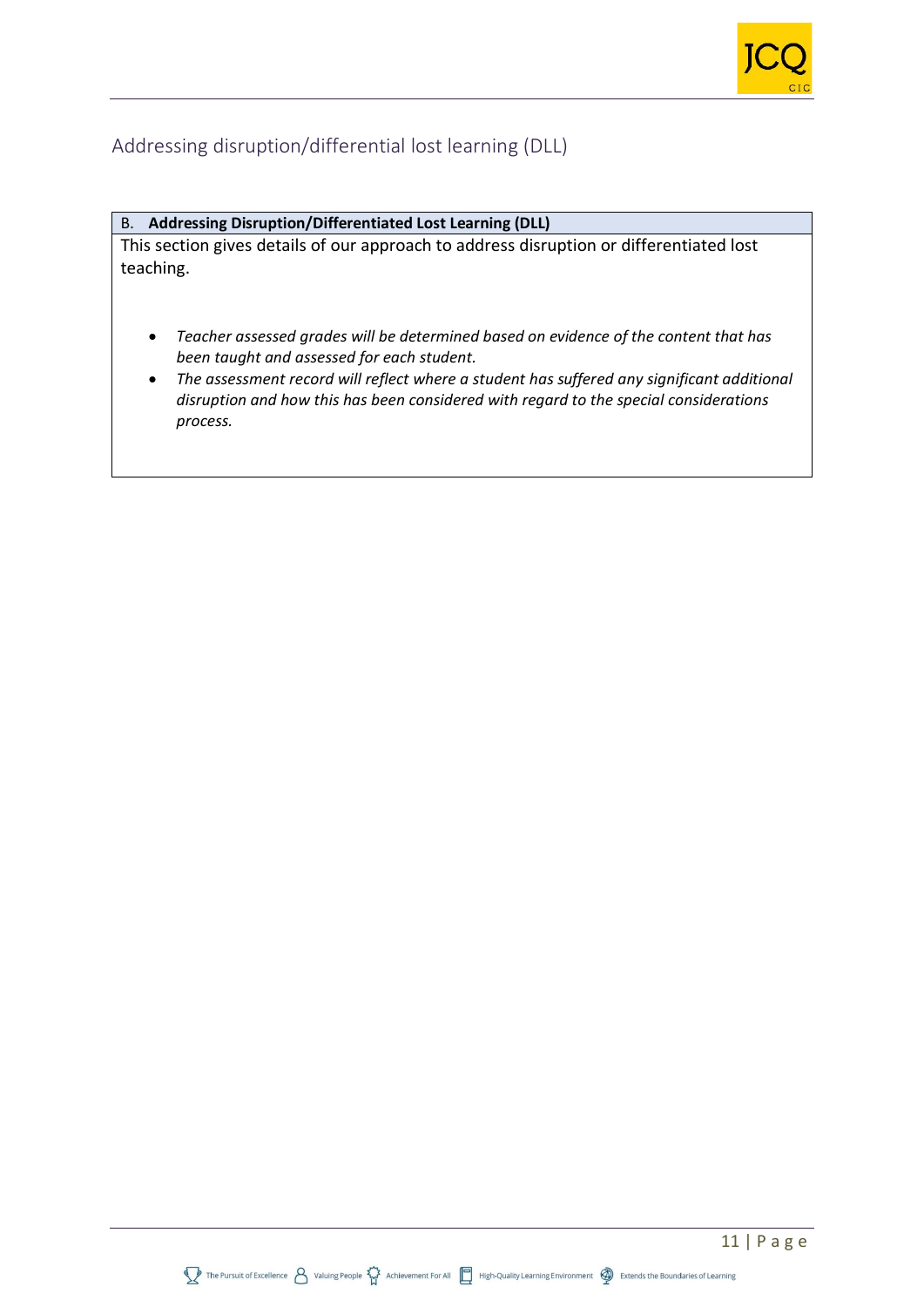## Addressing disruption/differential lost learning (DLL)

#### B. **Addressing Disruption/Differentiated Lost Learning (DLL)**

This section gives details of our approach to address disruption or differentiated lost teaching.

- *Teacher assessed grades will be determined based on evidence of the content that has been taught and assessed for each student.*
- *The assessment record will reflect where a student has suffered any significant additional disruption and how this has been considered with regard to the special considerations process.*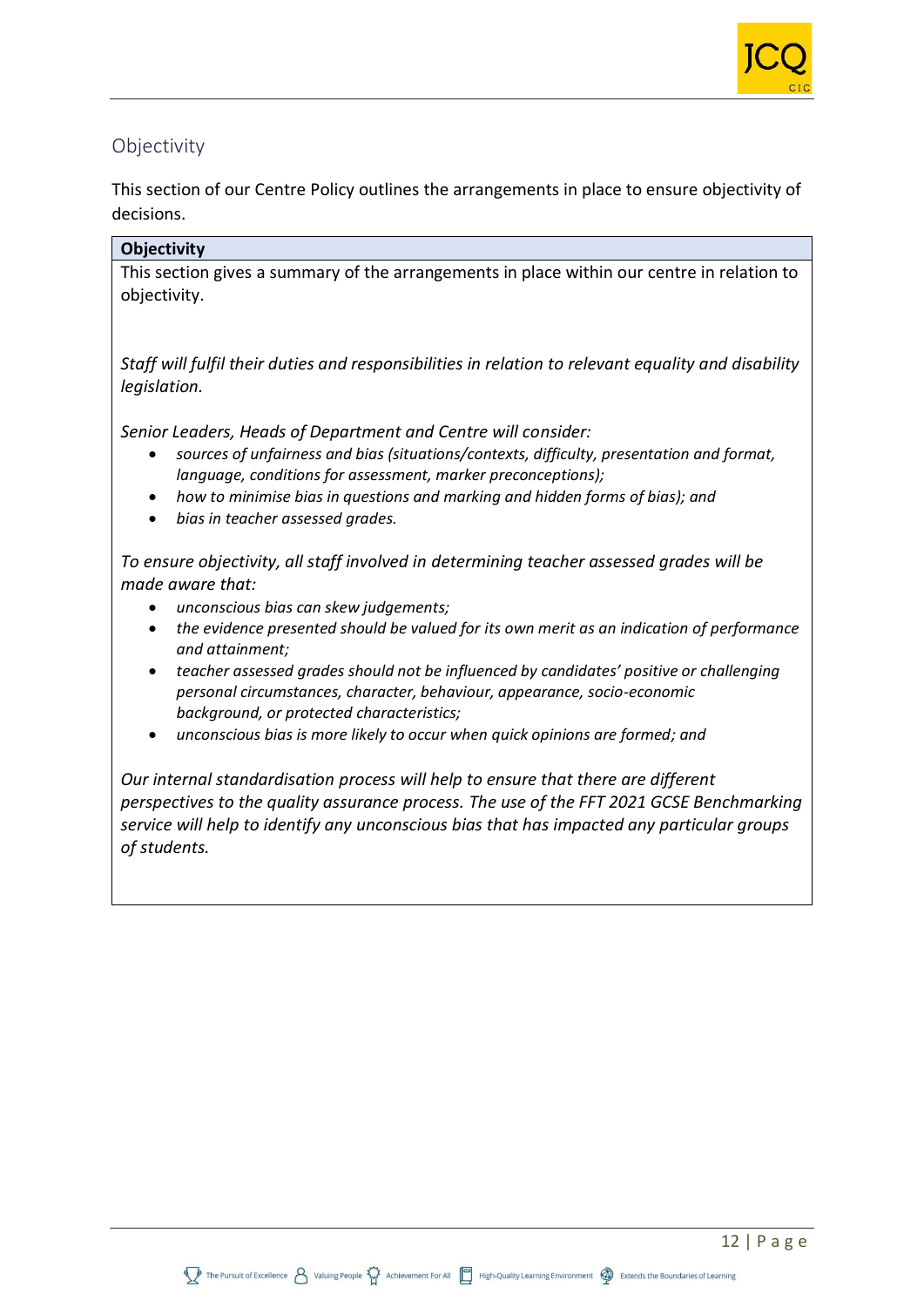

## **Objectivity**

This section of our Centre Policy outlines the arrangements in place to ensure objectivity of decisions.

#### **Objectivity**

This section gives a summary of the arrangements in place within our centre in relation to objectivity.

*Staff will fulfil their duties and responsibilities in relation to relevant equality and disability legislation.*

*Senior Leaders, Heads of Department and Centre will consider:*

- *sources of unfairness and bias (situations/contexts, difficulty, presentation and format, language, conditions for assessment, marker preconceptions);*
- *how to minimise bias in questions and marking and hidden forms of bias); and*
- *bias in teacher assessed grades.*

*To ensure objectivity, all staff involved in determining teacher assessed grades will be made aware that:*

- *unconscious bias can skew judgements;*
- *the evidence presented should be valued for its own merit as an indication of performance and attainment;*
- *teacher assessed grades should not be influenced by candidates' positive or challenging personal circumstances, character, behaviour, appearance, socio-economic background, or protected characteristics;*
- *unconscious bias is more likely to occur when quick opinions are formed; and*

*Our internal standardisation process will help to ensure that there are different perspectives to the quality assurance process. The use of the FFT 2021 GCSE Benchmarking service will help to identify any unconscious bias that has impacted any particular groups of students.*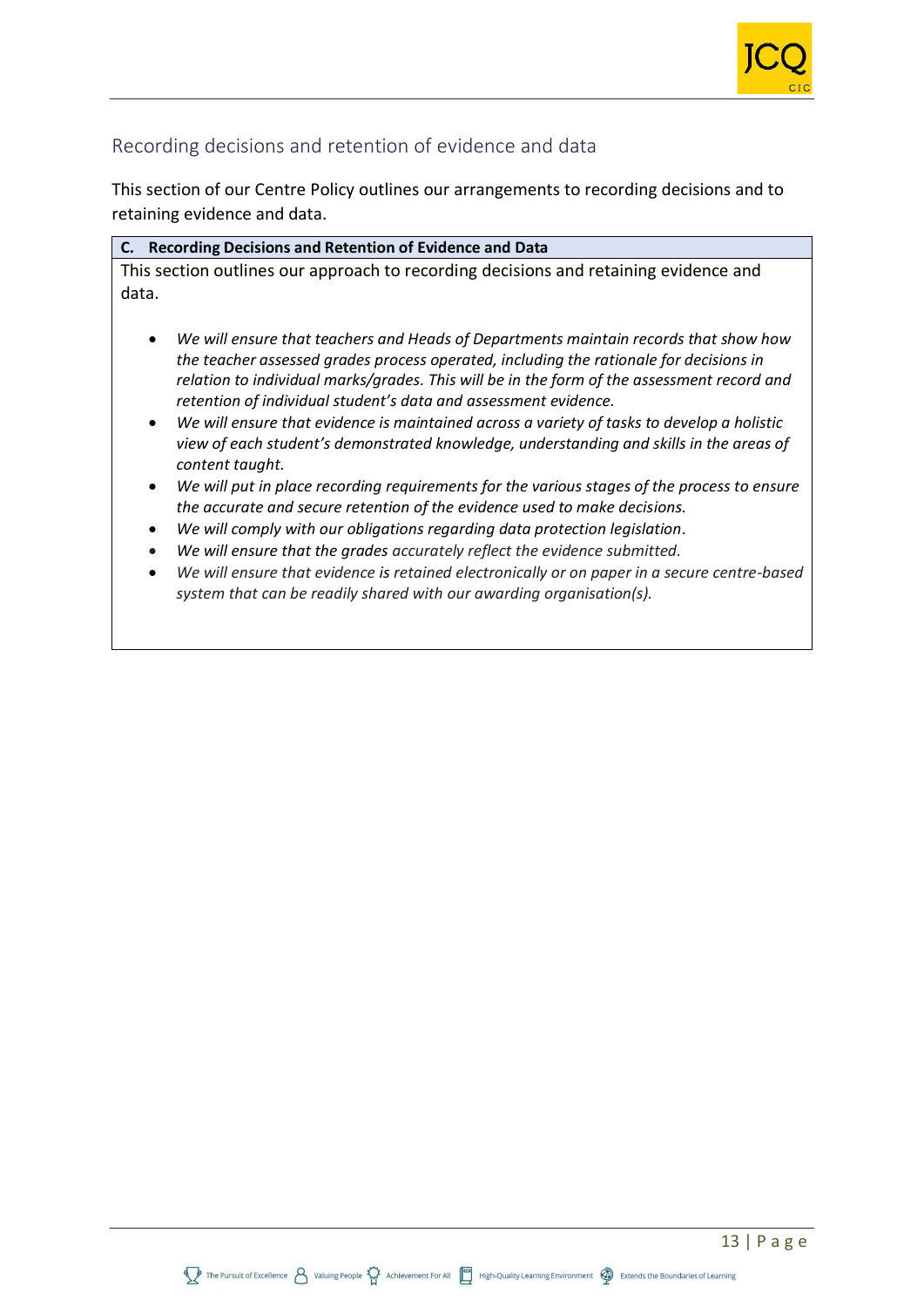

## Recording decisions and retention of evidence and data

This section of our Centre Policy outlines our arrangements to recording decisions and to retaining evidence and data.

| C. Recording Decisions and Retention of Evidence and Data                                                                                                                                                                                                                                                                                                                                                                                                                                                                                                                             |  |
|---------------------------------------------------------------------------------------------------------------------------------------------------------------------------------------------------------------------------------------------------------------------------------------------------------------------------------------------------------------------------------------------------------------------------------------------------------------------------------------------------------------------------------------------------------------------------------------|--|
| This section outlines our approach to recording decisions and retaining evidence and<br>data.                                                                                                                                                                                                                                                                                                                                                                                                                                                                                         |  |
| We will ensure that teachers and Heads of Departments maintain records that show how<br>$\bullet$<br>the teacher assessed grades process operated, including the rationale for decisions in<br>relation to individual marks/grades. This will be in the form of the assessment record and<br>retention of individual student's data and assessment evidence.<br>We will ensure that evidence is maintained across a variety of tasks to develop a holistic<br>$\bullet$<br>view of each student's demonstrated knowledge, understanding and skills in the areas of<br>content taught. |  |
| We will put in place recording requirements for the various stages of the process to ensure<br>$\bullet$                                                                                                                                                                                                                                                                                                                                                                                                                                                                              |  |

- *the accurate and secure retention of the evidence used to make decisions.*
- *We will comply with our obligations regarding data protection legislation.*
- *We will ensure that the grades accurately reflect the evidence submitted.*
- *We will ensure that evidence is retained electronically or on paper in a secure centre-based system that can be readily shared with our awarding organisation(s).*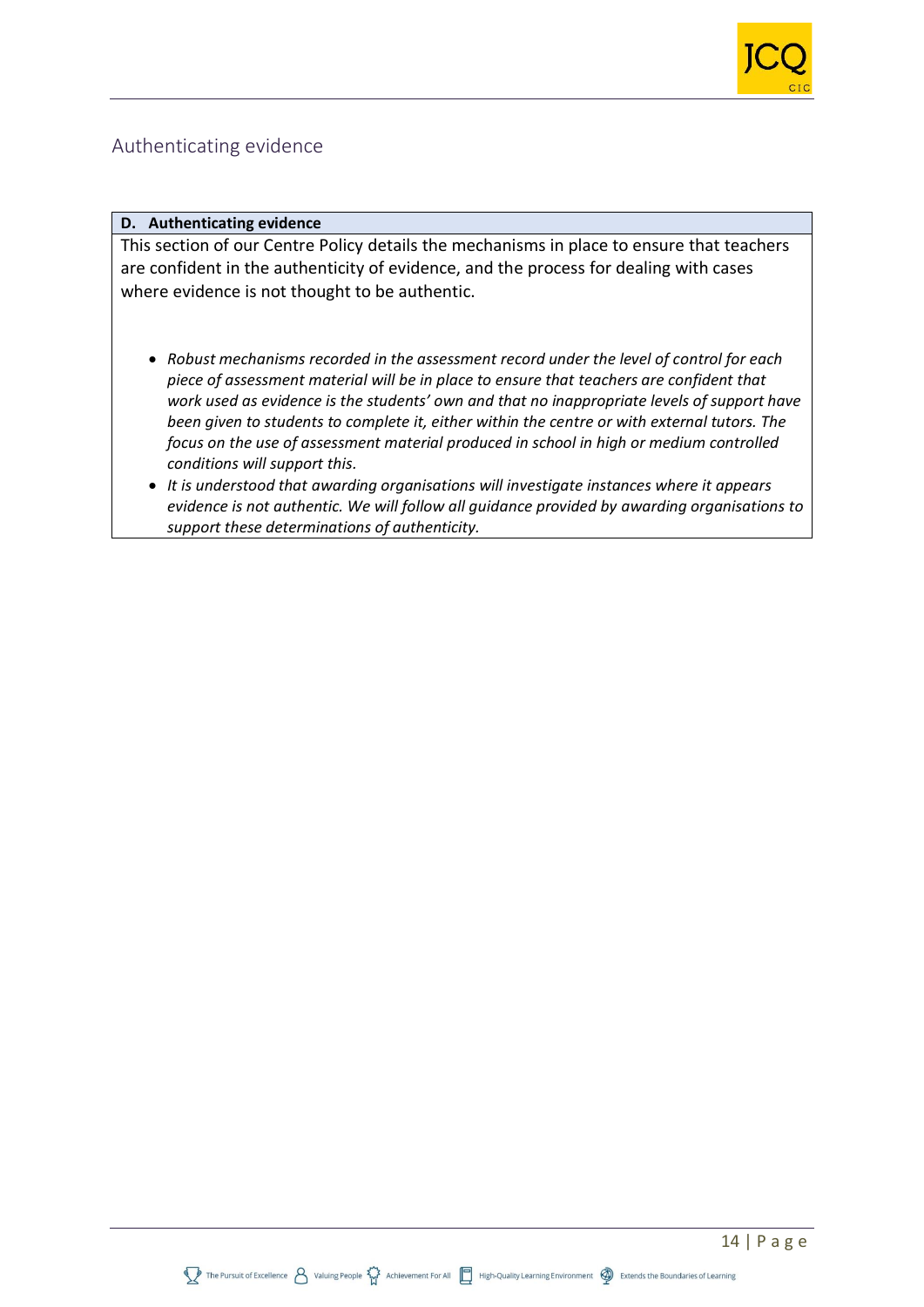

## Authenticating evidence

#### **D. Authenticating evidence**

This section of our Centre Policy details the mechanisms in place to ensure that teachers are confident in the authenticity of evidence, and the process for dealing with cases where evidence is not thought to be authentic.

- *Robust mechanisms recorded in the assessment record under the level of control for each piece of assessment material will be in place to ensure that teachers are confident that work used as evidence is the students' own and that no inappropriate levels of support have been given to students to complete it, either within the centre or with external tutors. The focus on the use of assessment material produced in school in high or medium controlled conditions will support this.*
- *It is understood that awarding organisations will investigate instances where it appears evidence is not authentic. We will follow all guidance provided by awarding organisations to support these determinations of authenticity.*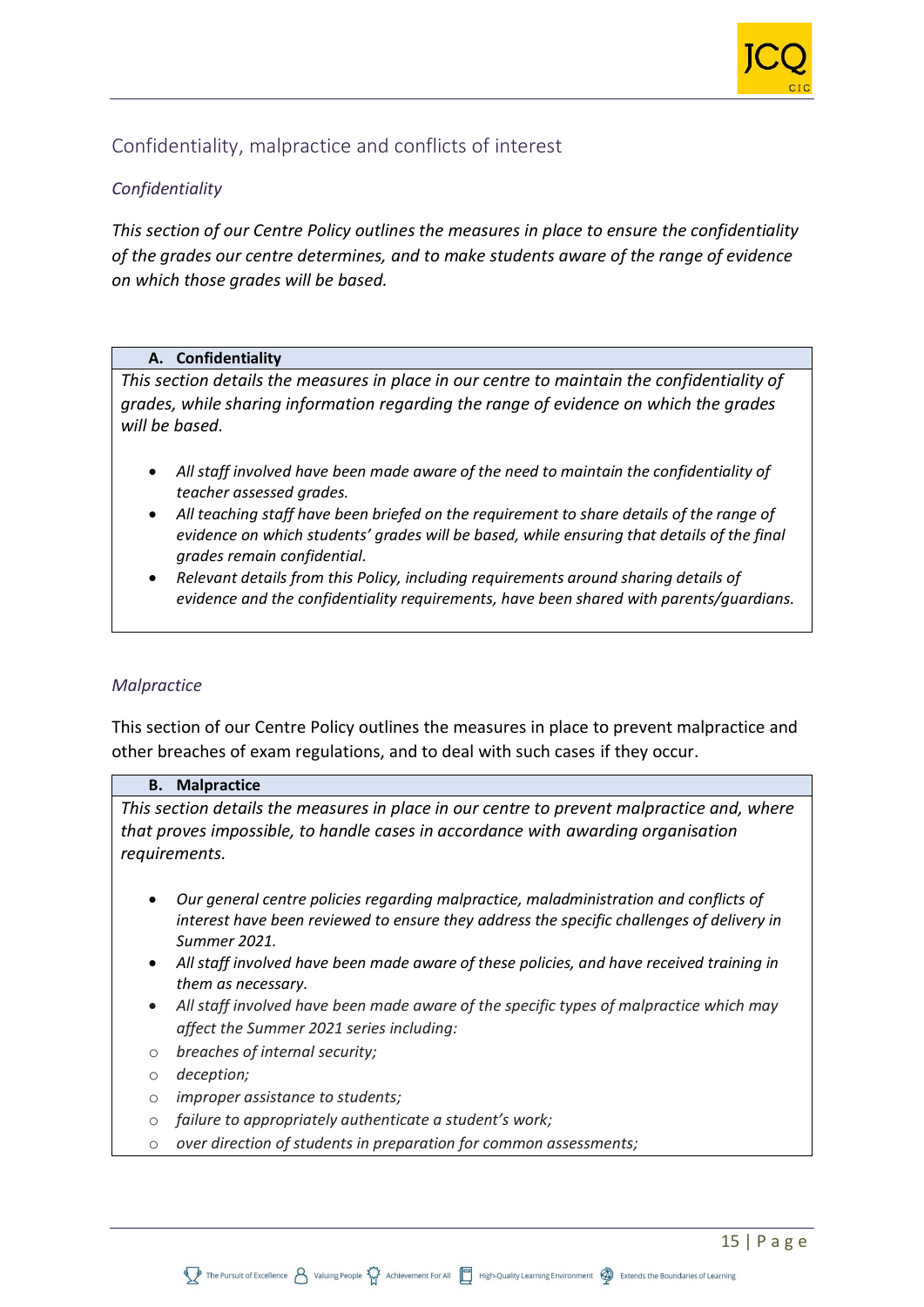

## Confidentiality, malpractice and conflicts of interest

## *Confidentiality*

*This section of our Centre Policy outlines the measures in place to ensure the confidentiality of the grades our centre determines, and to make students aware of the range of evidence on which those grades will be based.*

#### **A. Confidentiality**

*This section details the measures in place in our centre to maintain the confidentiality of grades, while sharing information regarding the range of evidence on which the grades will be based.* 

- *All staff involved have been made aware of the need to maintain the confidentiality of teacher assessed grades.*
- *All teaching staff have been briefed on the requirement to share details of the range of evidence on which students' grades will be based, while ensuring that details of the final grades remain confidential.*
- *Relevant details from this Policy, including requirements around sharing details of evidence and the confidentiality requirements, have been shared with parents/guardians.*

#### *Malpractice*

This section of our Centre Policy outlines the measures in place to prevent malpractice and other breaches of exam regulations, and to deal with such cases if they occur.

#### **B. Malpractice**

*This section details the measures in place in our centre to prevent malpractice and, where that proves impossible, to handle cases in accordance with awarding organisation requirements.*

- *Our general centre policies regarding malpractice, maladministration and conflicts of interest have been reviewed to ensure they address the specific challenges of delivery in Summer 2021.*
- *All staff involved have been made aware of these policies, and have received training in them as necessary.*
- *All staff involved have been made aware of the specific types of malpractice which may affect the Summer 2021 series including:*
- o *breaches of internal security;*
- o *deception;*
- o *improper assistance to students;*
- o *failure to appropriately authenticate a student's work;*
- o *over direction of students in preparation for common assessments;*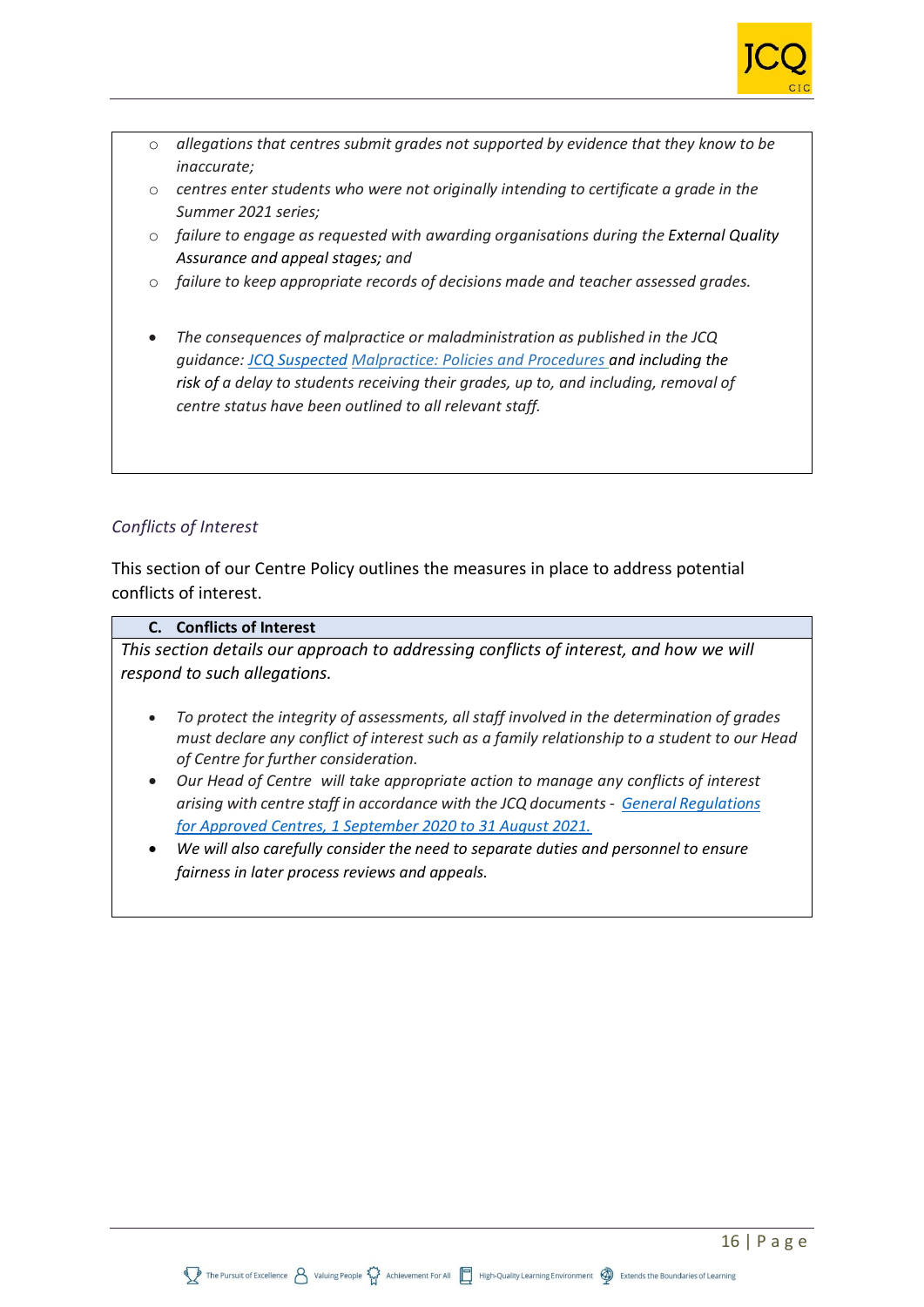

- o *allegations that centres submit grades not supported by evidence that they know to be inaccurate;*
- o *centres enter students who were not originally intending to certificate a grade in the Summer 2021 series;*
- o *failure to engage as requested with awarding organisations during the External Quality Assurance and appeal stages; and*
- o *failure to keep appropriate records of decisions made and teacher assessed grades.*
- *The consequences of malpractice or maladministration as published in the JCQ guidance: [JCQ Suspected](https://www.jcq.org.uk/exams-office/malpractice/jcq-suspected-malpractice-policies-and-procedures-2019-2020) Malpractice: Policies and Procedures and including the risk of a delay to students receiving their grades, up to, and including, removal of centre status have been outlined to all relevant staff.*

#### *Conflicts of Interest*

This section of our Centre Policy outlines the measures in place to address potential conflicts of interest.

#### **C. Conflicts of Interest**

*This section details our approach to addressing conflicts of interest, and how we will respond to such allegations.*

- *To protect the integrity of assessments, all staff involved in the determination of grades must declare any conflict of interest such as a family relationship to a student to our Head of Centre for further consideration.*
- *Our Head of Centre will take appropriate action to manage any conflicts of interest arising with centre staff in accordance with the JCQ documents - [General Regulations](https://www.jcq.org.uk/wp-content/uploads/2020/09/Gen_regs_approved_centres_20-21_FINAL.pdf)  [for Approved Centres, 1 September 2020 to 31 August 2021.](https://www.jcq.org.uk/wp-content/uploads/2020/09/Gen_regs_approved_centres_20-21_FINAL.pdf)*
- *We will also carefully consider the need to separate duties and personnel to ensure fairness in later process reviews and appeals.*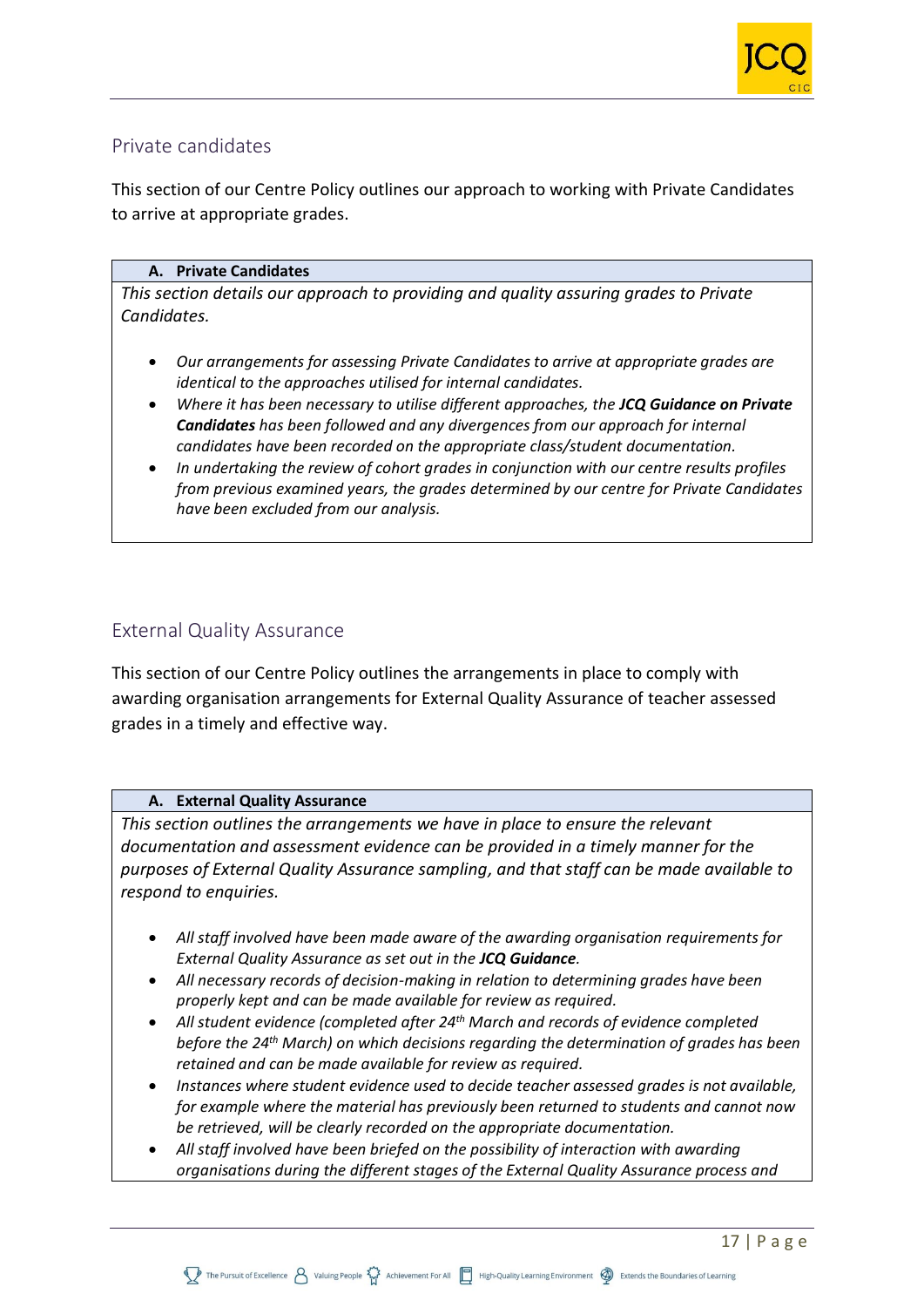

## Private candidates

This section of our Centre Policy outlines our approach to working with Private Candidates to arrive at appropriate grades.

#### **A. Private Candidates**

*This section details our approach to providing and quality assuring grades to Private Candidates.* 

- *Our arrangements for assessing Private Candidates to arrive at appropriate grades are identical to the approaches utilised for internal candidates.*
- *Where it has been necessary to utilise different approaches, the JCQ Guidance on Private Candidates has been followed and any divergences from our approach for internal candidates have been recorded on the appropriate class/student documentation.*
- *In undertaking the review of cohort grades in conjunction with our centre results profiles from previous examined years, the grades determined by our centre for Private Candidates have been excluded from our analysis.*

## External Quality Assurance

This section of our Centre Policy outlines the arrangements in place to comply with awarding organisation arrangements for External Quality Assurance of teacher assessed grades in a timely and effective way.

#### **A. External Quality Assurance**

*This section outlines the arrangements we have in place to ensure the relevant documentation and assessment evidence can be provided in a timely manner for the purposes of External Quality Assurance sampling, and that staff can be made available to respond to enquiries.*

- *All staff involved have been made aware of the awarding organisation requirements for External Quality Assurance as set out in the JCQ Guidance.*
- *All necessary records of decision-making in relation to determining grades have been properly kept and can be made available for review as required.*
- *All student evidence (completed after 24th March and records of evidence completed before the 24th March) on which decisions regarding the determination of grades has been retained and can be made available for review as required.*
- *Instances where student evidence used to decide teacher assessed grades is not available, for example where the material has previously been returned to students and cannot now be retrieved, will be clearly recorded on the appropriate documentation.*
- *All staff involved have been briefed on the possibility of interaction with awarding organisations during the different stages of the External Quality Assurance process and*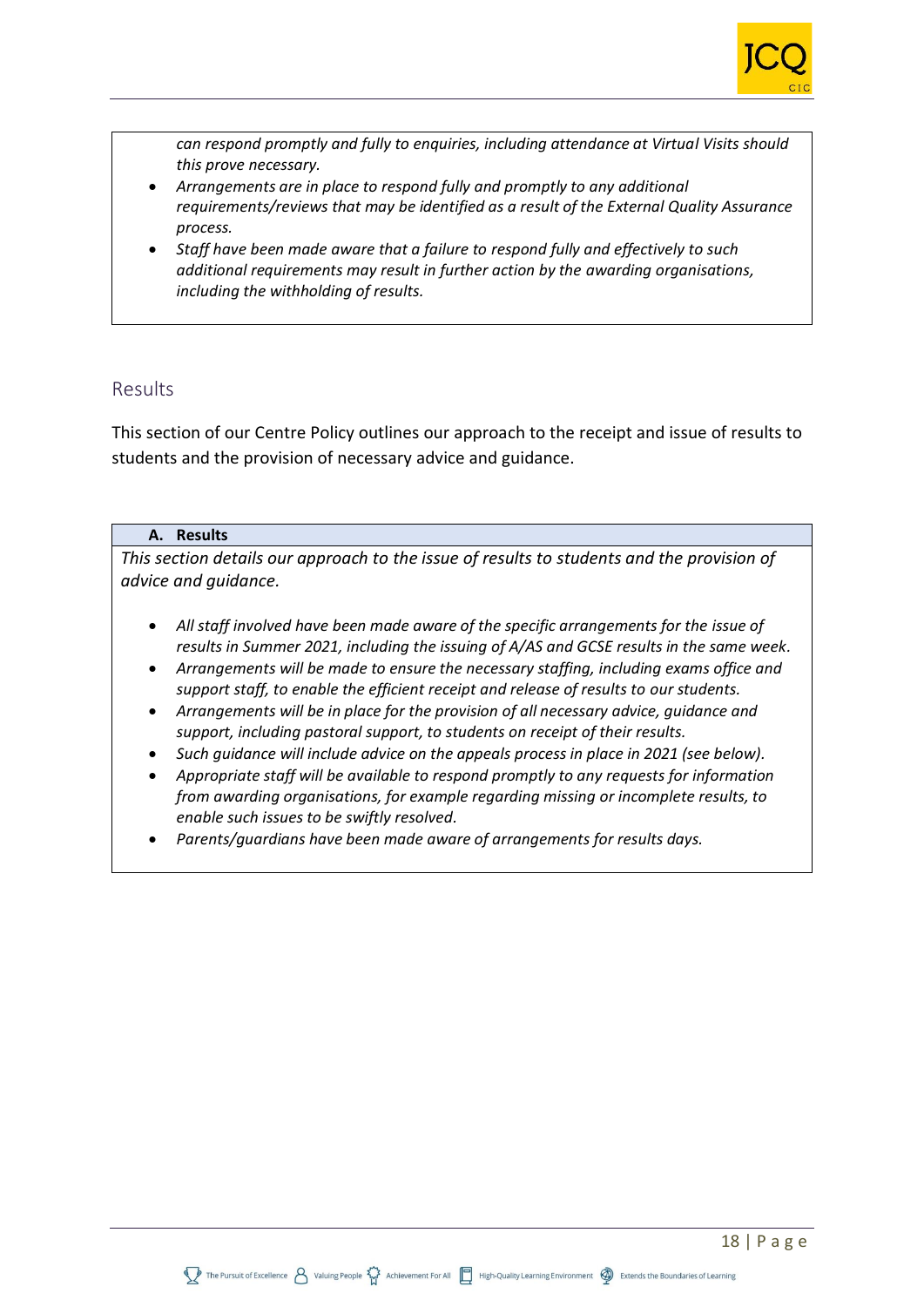

*can respond promptly and fully to enquiries, including attendance at Virtual Visits should this prove necessary.*

- *Arrangements are in place to respond fully and promptly to any additional requirements/reviews that may be identified as a result of the External Quality Assurance process.*
- *Staff have been made aware that a failure to respond fully and effectively to such additional requirements may result in further action by the awarding organisations, including the withholding of results.*

## Results

This section of our Centre Policy outlines our approach to the receipt and issue of results to students and the provision of necessary advice and guidance.

#### **A. Results**

*This section details our approach to the issue of results to students and the provision of advice and guidance.*

- *All staff involved have been made aware of the specific arrangements for the issue of results in Summer 2021, including the issuing of A/AS and GCSE results in the same week.*
- *Arrangements will be made to ensure the necessary staffing, including exams office and support staff, to enable the efficient receipt and release of results to our students.*
- *Arrangements will be in place for the provision of all necessary advice, guidance and support, including pastoral support, to students on receipt of their results.*
- *Such guidance will include advice on the appeals process in place in 2021 (see below).*
- *Appropriate staff will be available to respond promptly to any requests for information from awarding organisations, for example regarding missing or incomplete results, to enable such issues to be swiftly resolved.*
- *Parents/guardians have been made aware of arrangements for results days.*